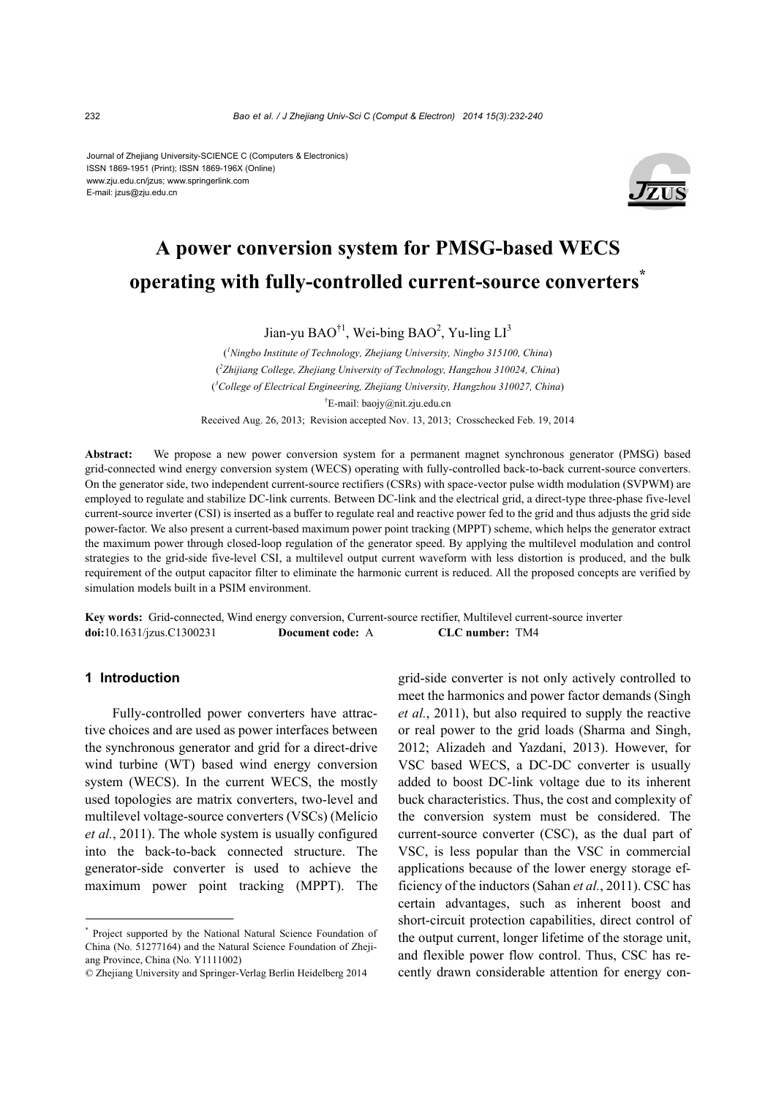Journal of Zhejiang University-SCIENCE C (Computers & Electronics) ISSN 1869-1951 (Print); ISSN 1869-196X (Online) www.zju.edu.cn/jzus; www.springerlink.com E-mail: jzus@zju.edu.cn



# **A power conversion system for PMSG-based WECS operating with fully-controlled current-source converters\***

Jian-yu BAO<sup>†1</sup>, Wei-bing BAO<sup>2</sup>, Yu-ling  $LI<sup>3</sup>$ 

( *1 Ningbo Institute of Technology, Zhejiang University, Ningbo 315100, China*) ( *2 Zhijiang College, Zhejiang University of Technology, Hangzhou 310024, China*) ( *3 College of Electrical Engineering, Zhejiang University, Hangzhou 310027, China*) † E-mail: baojy@nit.zju.edu.cn

Received Aug. 26, 2013; Revision accepted Nov. 13, 2013; Crosschecked Feb. 19, 2014

**Abstract:** We propose a new power conversion system for a permanent magnet synchronous generator (PMSG) based grid-connected wind energy conversion system (WECS) operating with fully-controlled back-to-back current-source converters. On the generator side, two independent current-source rectifiers (CSRs) with space-vector pulse width modulation (SVPWM) are employed to regulate and stabilize DC-link currents. Between DC-link and the electrical grid, a direct-type three-phase five-level current-source inverter (CSI) is inserted as a buffer to regulate real and reactive power fed to the grid and thus adjusts the grid side power-factor. We also present a current-based maximum power point tracking (MPPT) scheme, which helps the generator extract the maximum power through closed-loop regulation of the generator speed. By applying the multilevel modulation and control strategies to the grid-side five-level CSI, a multilevel output current waveform with less distortion is produced, and the bulk requirement of the output capacitor filter to eliminate the harmonic current is reduced. All the proposed concepts are verified by simulation models built in a PSIM environment.

**Key words:** Grid-connected, Wind energy conversion, Current-source rectifier, Multilevel current-source inverter **doi:**10.1631/jzus.C1300231 **Document code:** A **CLC number:** TM4

# **1 Introduction**

Fully-controlled power converters have attractive choices and are used as power interfaces between the synchronous generator and grid for a direct-drive wind turbine (WT) based wind energy conversion system (WECS). In the current WECS, the mostly used topologies are matrix converters, two-level and multilevel voltage-source converters (VSCs) (Melício *et al.*, 2011). The whole system is usually configured into the back-to-back connected structure. The generator-side converter is used to achieve the maximum power point tracking (MPPT). The grid-side converter is not only actively controlled to meet the harmonics and power factor demands (Singh *et al.*, 2011), but also required to supply the reactive or real power to the grid loads (Sharma and Singh, 2012; Alizadeh and Yazdani, 2013). However, for VSC based WECS, a DC-DC converter is usually added to boost DC-link voltage due to its inherent buck characteristics. Thus, the cost and complexity of the conversion system must be considered. The current-source converter (CSC), as the dual part of VSC, is less popular than the VSC in commercial applications because of the lower energy storage efficiency of the inductors (Sahan *et al.*, 2011). CSC has certain advantages, such as inherent boost and short-circuit protection capabilities, direct control of the output current, longer lifetime of the storage unit, and flexible power flow control. Thus, CSC has recently drawn considerable attention for energy con-

<sup>\*</sup> Project supported by the National Natural Science Foundation of China (No. 51277164) and the Natural Science Foundation of Zhejiang Province, China (No. Y1111002)

<sup>©</sup> Zhejiang University and Springer-Verlag Berlin Heidelberg 2014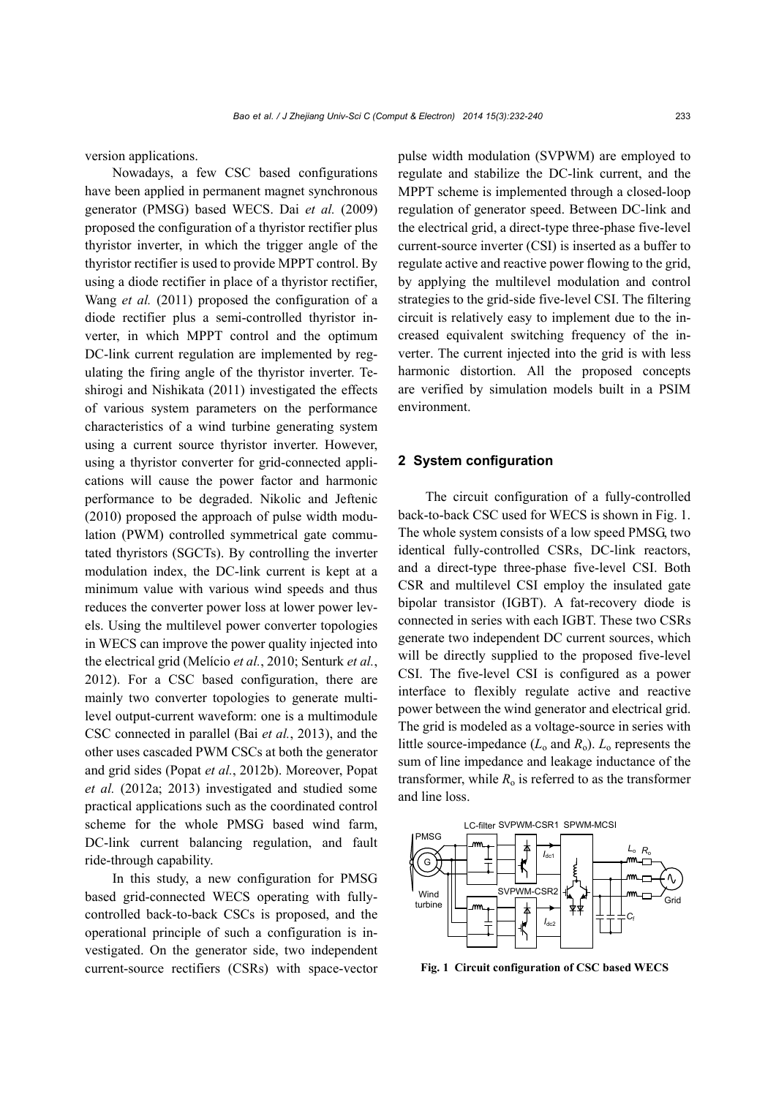version applications.

Nowadays, a few CSC based configurations have been applied in permanent magnet synchronous generator (PMSG) based WECS. Dai *et al.* (2009) proposed the configuration of a thyristor rectifier plus thyristor inverter, in which the trigger angle of the thyristor rectifier is used to provide MPPT control. By using a diode rectifier in place of a thyristor rectifier, Wang *et al.* (2011) proposed the configuration of a diode rectifier plus a semi-controlled thyristor inverter, in which MPPT control and the optimum DC-link current regulation are implemented by regulating the firing angle of the thyristor inverter. Teshirogi and Nishikata (2011) investigated the effects of various system parameters on the performance characteristics of a wind turbine generating system using a current source thyristor inverter. However, using a thyristor converter for grid-connected applications will cause the power factor and harmonic performance to be degraded. Nikolic and Jeftenic (2010) proposed the approach of pulse width modulation (PWM) controlled symmetrical gate commutated thyristors (SGCTs). By controlling the inverter modulation index, the DC-link current is kept at a minimum value with various wind speeds and thus reduces the converter power loss at lower power levels. Using the multilevel power converter topologies in WECS can improve the power quality injected into the electrical grid (Melício *et al.*, 2010; Senturk *et al.*, 2012). For a CSC based configuration, there are mainly two converter topologies to generate multilevel output-current waveform: one is a multimodule CSC connected in parallel (Bai *et al.*, 2013), and the other uses cascaded PWM CSCs at both the generator and grid sides (Popat *et al.*, 2012b). Moreover, Popat *et al.* (2012a; 2013) investigated and studied some practical applications such as the coordinated control scheme for the whole PMSG based wind farm, DC-link current balancing regulation, and fault ride-through capability.

In this study, a new configuration for PMSG based grid-connected WECS operating with fullycontrolled back-to-back CSCs is proposed, and the operational principle of such a configuration is investigated. On the generator side, two independent current-source rectifiers (CSRs) with space-vector pulse width modulation (SVPWM) are employed to regulate and stabilize the DC-link current, and the MPPT scheme is implemented through a closed-loop regulation of generator speed. Between DC-link and the electrical grid, a direct-type three-phase five-level current-source inverter (CSI) is inserted as a buffer to regulate active and reactive power flowing to the grid, by applying the multilevel modulation and control strategies to the grid-side five-level CSI. The filtering circuit is relatively easy to implement due to the increased equivalent switching frequency of the inverter. The current injected into the grid is with less harmonic distortion. All the proposed concepts are verified by simulation models built in a PSIM environment.

# **2 System configuration**

The circuit configuration of a fully-controlled back-to-back CSC used for WECS is shown in Fig. 1. The whole system consists of a low speed PMSG, two identical fully-controlled CSRs, DC-link reactors, and a direct-type three-phase five-level CSI. Both CSR and multilevel CSI employ the insulated gate bipolar transistor (IGBT). A fat-recovery diode is connected in series with each IGBT. These two CSRs generate two independent DC current sources, which will be directly supplied to the proposed five-level CSI. The five-level CSI is configured as a power interface to flexibly regulate active and reactive power between the wind generator and electrical grid. The grid is modeled as a voltage-source in series with little source-impedance  $(L_0$  and  $R_0$ ).  $L_0$  represents the sum of line impedance and leakage inductance of the transformer, while  $R_0$  is referred to as the transformer and line loss.



**Fig. 1 Circuit configuration of CSC based WECS**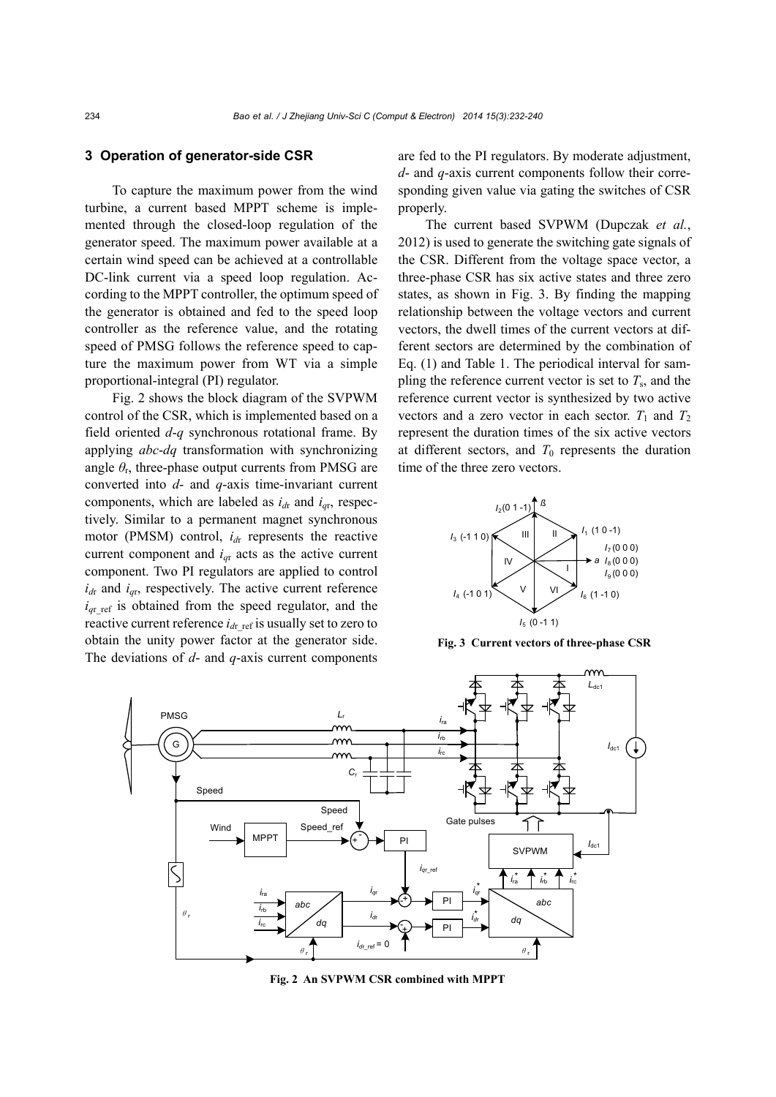## **3 Operation of generator-side CSR**

To capture the maximum power from the wind turbine, a current based MPPT scheme is implemented through the closed-loop regulation of the generator speed. The maximum power available at a certain wind speed can be achieved at a controllable DC-link current via a speed loop regulation. According to the MPPT controller, the optimum speed of the generator is obtained and fed to the speed loop controller as the reference value, and the rotating speed of PMSG follows the reference speed to capture the maximum power from WT via a simple proportional-integral (PI) regulator.

Fig. 2 shows the block diagram of the SVPWM control of the CSR, which is implemented based on a field oriented *d*-*q* synchronous rotational frame. By applying *abc*-*dq* transformation with synchronizing angle  $\theta_r$ , three-phase output currents from PMSG are converted into *d*- and *q*-axis time-invariant current components, which are labeled as  $i_{dr}$  and  $i_{qr}$ , respectively. Similar to a permanent magnet synchronous motor (PMSM) control,  $i_{dr}$  represents the reactive current component and  $i_{qr}$  acts as the active current component. Two PI regulators are applied to control  $i_{dr}$  and  $i_{qr}$ , respectively. The active current reference  $i_{qr \text{ ref}}$  is obtained from the speed regulator, and the reactive current reference  $i_{dr}$  ref is usually set to zero to obtain the unity power factor at the generator side. The deviations of *d*- and *q*-axis current components

are fed to the PI regulators. By moderate adjustment, *d*- and *q*-axis current components follow their corresponding given value via gating the switches of CSR properly.

The current based SVPWM (Dupczak *et al.*, 2012) is used to generate the switching gate signals of the CSR. Different from the voltage space vector, a three-phase CSR has six active states and three zero states, as shown in Fig. 3. By finding the mapping relationship between the voltage vectors and current vectors, the dwell times of the current vectors at different sectors are determined by the combination of Eq. (1) and Table 1. The periodical interval for sampling the reference current vector is set to  $T_s$ , and the reference current vector is synthesized by two active vectors and a zero vector in each sector.  $T_1$  and  $T_2$ represent the duration times of the six active vectors at different sectors, and  $T_0$  represents the duration time of the three zero vectors.



**Fig. 3 Current vectors of three-phase CSR** 



**Fig. 2 An SVPWM CSR combined with MPPT**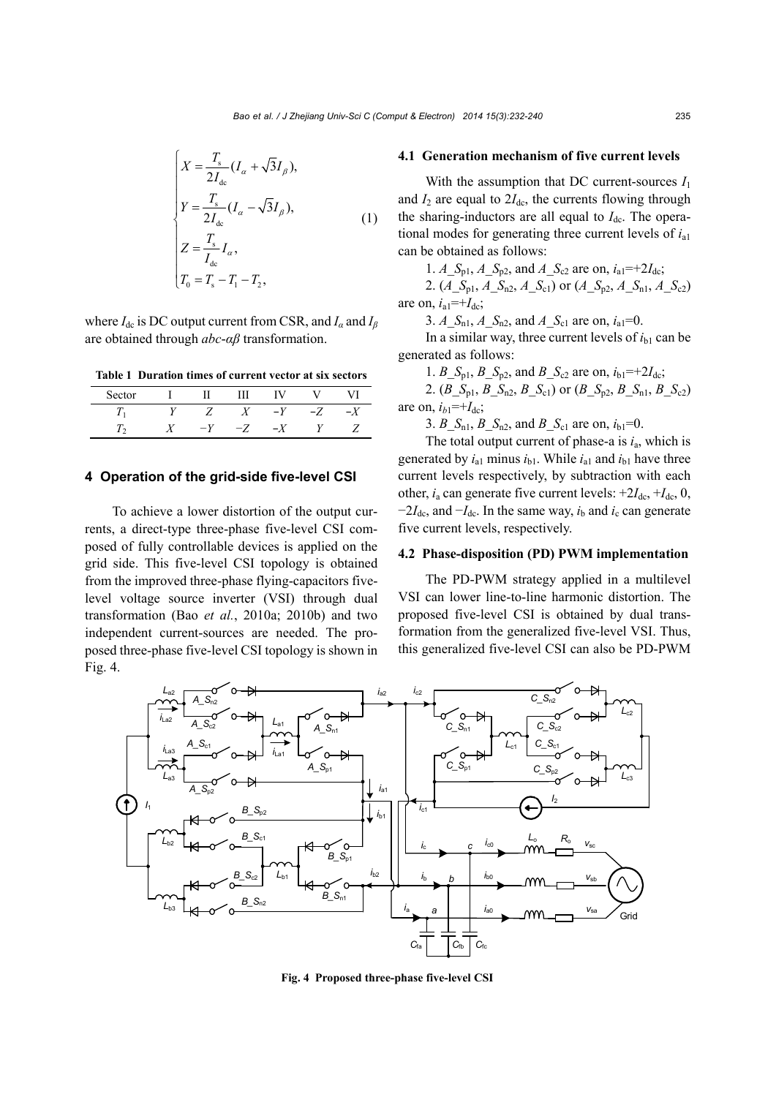$$
\begin{cases}\nX = \frac{T_{\rm s}}{2I_{\rm dc}} (I_{\alpha} + \sqrt{3}I_{\beta}), \\
Y = \frac{T_{\rm s}}{2I_{\rm dc}} (I_{\alpha} - \sqrt{3}I_{\beta}), \\
Z = \frac{T_{\rm s}}{I_{\rm dc}} I_{\alpha}, \\
T_{\rm 0} = T_{\rm s} - T_{\rm l} - T_{\rm 2},\n\end{cases} (1)
$$

where  $I_{dc}$  is DC output current from CSR, and  $I_a$  and  $I_\beta$ are obtained through *abc*-*αβ* transformation.

**Table 1 Duration times of current vector at six sectors** 

| Sector | and the state | $\mathbf{H}$ | Ш       | - IV - |      |     |
|--------|---------------|--------------|---------|--------|------|-----|
|        | Y             |              | $Z \tX$ | $-Y$   | $-Z$ | ر _ |
|        |               | $-Y$         | $-Z$    | $-X$   |      |     |

# **4 Operation of the grid-side five-level CSI**

To achieve a lower distortion of the output currents, a direct-type three-phase five-level CSI composed of fully controllable devices is applied on the grid side. This five-level CSI topology is obtained from the improved three-phase flying-capacitors fivelevel voltage source inverter (VSI) through dual transformation (Bao *et al.*, 2010a; 2010b) and two independent current-sources are needed. The proposed three-phase five-level CSI topology is shown in Fig. 4.

#### **4.1 Generation mechanism of five current levels**

With the assumption that DC current-sources  $I_1$ and  $I_2$  are equal to  $2I_{dc}$ , the currents flowing through the sharing-inductors are all equal to  $I_{dc}$ . The operational modes for generating three current levels of *i*a1 can be obtained as follows:

1. *A*\_*S*<sub>p1</sub>, *A*\_*S*<sub>p2</sub>, and *A*\_*S*<sub>c2</sub> are on,  $i_{a1}$ =+2*I*<sub>dc</sub>; 2. (*A*<sub> $>$ S<sub>p1</sub>, *A*<sub> $>$ S<sub>n2</sub>, *A*<sub> $>$ S<sub>c1</sub></sub>) or (*A*<sub> $>$ S<sub>p2</sub>, *A*<sub> $>$ S<sub>n1</sub>, *A*<sub> $>$ S<sub>c2</sub>)</sub></sub></sub></sub></sub> are on,  $i_{a1}$ =+ $I_{dc}$ ;

3. *A*\_ $S_{n1}$ , *A*\_ $S_{n2}$ , and *A*\_ $S_{c1}$  are on,  $i_{a1}=0$ .

In a similar way, three current levels of  $i<sub>b1</sub>$  can be generated as follows:

1. *B*\_*S*<sub>p1</sub>, *B*\_*S*<sub>p2</sub>, and *B*\_*S*<sub>c2</sub> are on,  $i_{b1}$ =+2*I*<sub>dc</sub>;

2. (*B*  $S_{p1}$ , *B*  $S_{p2}$ , *B*  $S_{c1}$ ) or (*B*  $S_{p2}$ , *B*  $S_{p1}$ , *B*  $S_{c2}$ ) are on,  $i_{h1}$ =+ $I_{dc}$ ;

3.  $B\_S_{n1}$ ,  $B\_S_{n2}$ , and  $B\_S_{c1}$  are on,  $i_{b1}=0$ .

The total output current of phase-a is *i*a, which is generated by  $i_{a1}$  minus  $i_{b1}$ . While  $i_{a1}$  and  $i_{b1}$  have three current levels respectively, by subtraction with each other,  $i_a$  can generate five current levels:  $+2I_{dc}$ ,  $+I_{dc}$ , 0,  $-2I_{dc}$ , and  $-I_{dc}$ . In the same way,  $i_b$  and  $i_c$  can generate five current levels, respectively.

# **4.2 Phase-disposition (PD) PWM implementation**

The PD-PWM strategy applied in a multilevel VSI can lower line-to-line harmonic distortion. The proposed five-level CSI is obtained by dual transformation from the generalized five-level VSI. Thus, this generalized five-level CSI can also be PD-PWM



**Fig. 4 Proposed three-phase five-level CSI**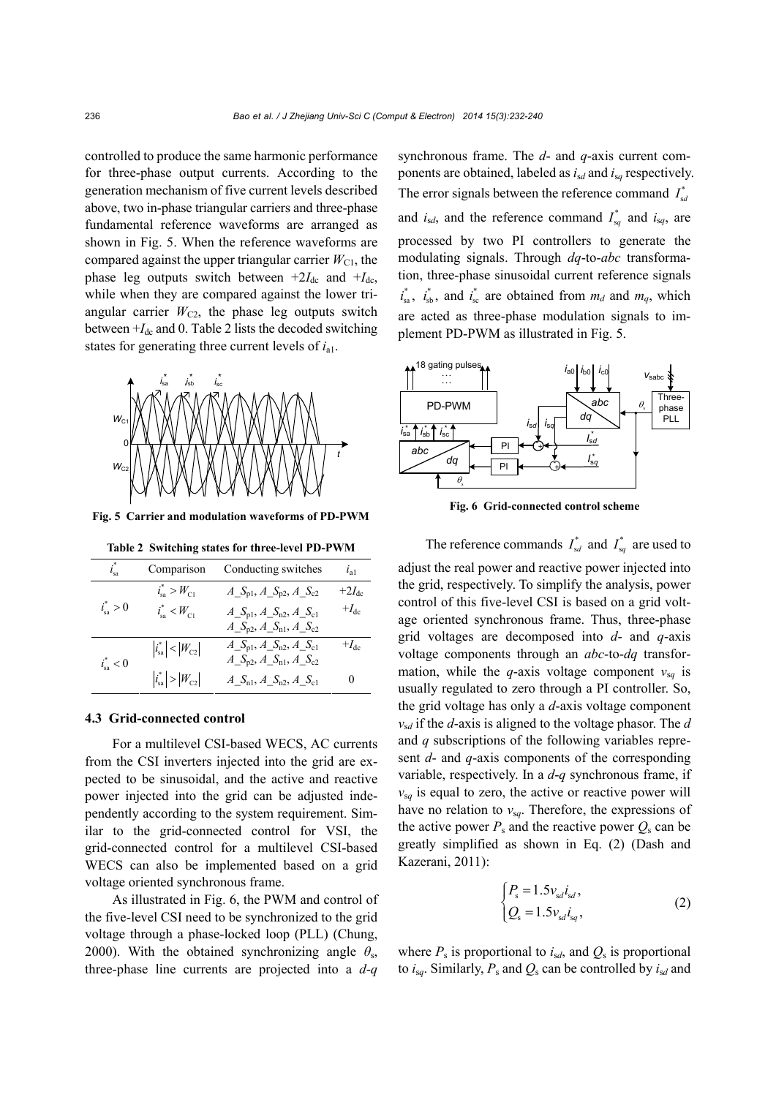controlled to produce the same harmonic performance for three-phase output currents. According to the generation mechanism of five current levels described above, two in-phase triangular carriers and three-phase fundamental reference waveforms are arranged as shown in Fig. 5. When the reference waveforms are compared against the upper triangular carrier  $W_{C1}$ , the phase leg outputs switch between  $+2I_{dc}$  and  $+I_{dc}$ , while when they are compared against the lower triangular carrier  $W_{C2}$ , the phase leg outputs switch between  $+I_{dc}$  and 0. Table 2 lists the decoded switching states for generating three current levels of *i*a1.



**Fig. 5 Carrier and modulation waveforms of PD-PWM**

|  |  |  | Table 2 Switching states for three-level PD-PWM |  |
|--|--|--|-------------------------------------------------|--|
|--|--|--|-------------------------------------------------|--|

| $i_{sa}^*$         | Comparison                      | Conducting switches                                 | $i_{a1}$          |
|--------------------|---------------------------------|-----------------------------------------------------|-------------------|
|                    | $i_{\rm sa}^* > W_{\rm C1}$     | $A_S_{\text{p1}}, A_S_{\text{p2}}, A_S_{\text{c2}}$ | $+2I_{\text{dc}}$ |
| $i_{\rm sa}^* > 0$ | $i_{sa}^*$ < $W_{C1}$           | $A_S_{\text{pl}}, A_S_{\text{n2}}, A_S_{\text{cl}}$ | $+I_{\text{dc}}$  |
|                    |                                 | $A_S_{p2}$ , $A_S_{n1}$ , $A_S_{c2}$                |                   |
| $i_{sa}^* < 0$     | $ i_{\rm sa}^*  <  W_{\rm C2} $ | $A_S_{\text{p1}}, A_S_{\text{n2}}, A_S_{\text{c1}}$ | $+I_{\text{dc}}$  |
|                    |                                 | $A_S_{p2}$ , $A_S_{n1}$ , $A_S_{c2}$                |                   |
|                    | $ i_{\text{sa}}^{*} > W_{C2} $  | $A\_S_{n1}, A\_S_{n2}, A\_S_{c1}$                   | $_{0}$            |

#### **4.3 Grid-connected control**

For a multilevel CSI-based WECS, AC currents from the CSI inverters injected into the grid are expected to be sinusoidal, and the active and reactive power injected into the grid can be adjusted independently according to the system requirement. Similar to the grid-connected control for VSI, the grid-connected control for a multilevel CSI-based WECS can also be implemented based on a grid voltage oriented synchronous frame.

As illustrated in Fig. 6, the PWM and control of the five-level CSI need to be synchronized to the grid voltage through a phase-locked loop (PLL) (Chung, 2000). With the obtained synchronizing angle  $\theta_s$ , three-phase line currents are projected into a *d*-*q* synchronous frame. The *d*- and *q*-axis current components are obtained, labeled as *i*s*d* and *i*s*q* respectively. The error signals between the reference command  $I_{sa}^*$ and  $i_{sd}$ , and the reference command  $I_{sq}^{*}$  and  $i_{sq}$ , are processed by two PI controllers to generate the modulating signals. Through *dq*-to-*abc* transformation, three-phase sinusoidal current reference signals  $i_{sa}^*$ ,  $i_{sb}^*$ , and  $i_{sc}^*$  are obtained from  $m_d$  and  $m_q$ , which are acted as three-phase modulation signals to implement PD-PWM as illustrated in Fig. 5.



**Fig. 6 Grid-connected control scheme** 

The reference commands  $I_{sd}^*$  and  $I_{sq}^*$  are used to

adjust the real power and reactive power injected into the grid, respectively. To simplify the analysis, power control of this five-level CSI is based on a grid voltage oriented synchronous frame. Thus, three-phase grid voltages are decomposed into *d*- and *q*-axis voltage components through an *abc*-to-*dq* transformation, while the *q*-axis voltage component  $v_{sq}$  is usually regulated to zero through a PI controller. So, the grid voltage has only a *d*-axis voltage component *v*s*d* if the *d*-axis is aligned to the voltage phasor. The *d* and *q* subscriptions of the following variables represent *d*- and *q*-axis components of the corresponding variable, respectively. In a *d*-*q* synchronous frame, if  $v_{\rm s}$  is equal to zero, the active or reactive power will have no relation to  $v_{sq}$ . Therefore, the expressions of the active power  $P_s$  and the reactive power  $Q_s$  can be greatly simplified as shown in Eq. (2) (Dash and Kazerani, 2011):

$$
\begin{cases}\nP_{\rm s} = 1.5 v_{\rm sd} i_{\rm sd}, \nQ_{\rm s} = 1.5 v_{\rm sd} i_{\rm sq}, \n(2)\n\end{cases}
$$

where  $P_s$  is proportional to  $i_{sd}$ , and  $Q_s$  is proportional to  $i_{sa}$ . Similarly,  $P_s$  and  $Q_s$  can be controlled by  $i_{sd}$  and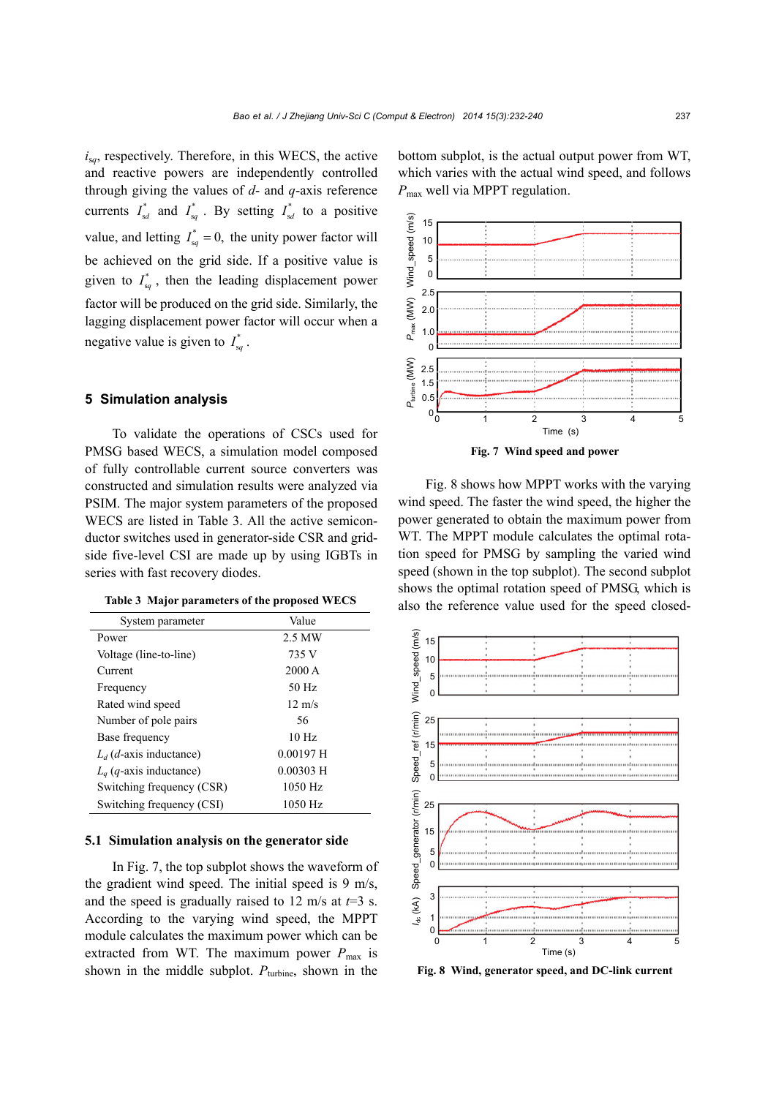*i*s*q*, respectively. Therefore, in this WECS, the active and reactive powers are independently controlled through giving the values of *d*- and *q*-axis reference currents  $I_{sd}^*$  and  $I_{sq}^*$ . By setting  $I_{sd}^*$  to a positive value, and letting  $I_{sq}^* = 0$ , the unity power factor will be achieved on the grid side. If a positive value is given to  $I_{sq}^*$ , then the leading displacement power factor will be produced on the grid side. Similarly, the lagging displacement power factor will occur when a negative value is given to  $I_{sq}^*$ .

## **5 Simulation analysis**

To validate the operations of CSCs used for PMSG based WECS, a simulation model composed of fully controllable current source converters was constructed and simulation results were analyzed via PSIM. The major system parameters of the proposed WECS are listed in Table 3. All the active semiconductor switches used in generator-side CSR and gridside five-level CSI are made up by using IGBTs in series with fast recovery diodes.

| System parameter                   | Value            |  |
|------------------------------------|------------------|--|
| Power                              | 2.5 MW           |  |
| Voltage (line-to-line)             | 735 V            |  |
| Current                            | $2000 \text{ A}$ |  |
| Frequency                          | $50$ Hz          |  |
| Rated wind speed                   | $12 \text{ m/s}$ |  |
| Number of pole pairs               | 56               |  |
| Base frequency                     | 10 <sub>Hz</sub> |  |
| $L_d$ ( <i>d</i> -axis inductance) | $0.00197$ H      |  |
| $L_q$ (q-axis inductance)          | $0.00303$ H      |  |
| Switching frequency (CSR)          | $1050$ Hz        |  |
| Switching frequency (CSI)          | $1050$ Hz        |  |

## **5.1 Simulation analysis on the generator side**

In Fig. 7, the top subplot shows the waveform of the gradient wind speed. The initial speed is 9 m/s, and the speed is gradually raised to 12 m/s at  $t=3$  s. According to the varying wind speed, the MPPT module calculates the maximum power which can be extracted from WT. The maximum power  $P_{\text{max}}$  is shown in the middle subplot.  $P_{\text{turbine}}$ , shown in the

bottom subplot, is the actual output power from WT, which varies with the actual wind speed, and follows *P*max well via MPPT regulation.



**Fig. 7 Wind speed and power** 

Fig. 8 shows how MPPT works with the varying wind speed. The faster the wind speed, the higher the power generated to obtain the maximum power from WT. The MPPT module calculates the optimal rotation speed for PMSG by sampling the varied wind speed (shown in the top subplot). The second subplot shows the optimal rotation speed of PMSG, which is Table 3 Major parameters of the proposed WECS also the reference value used for the speed closed-



**Fig. 8 Wind, generator speed, and DC-link current**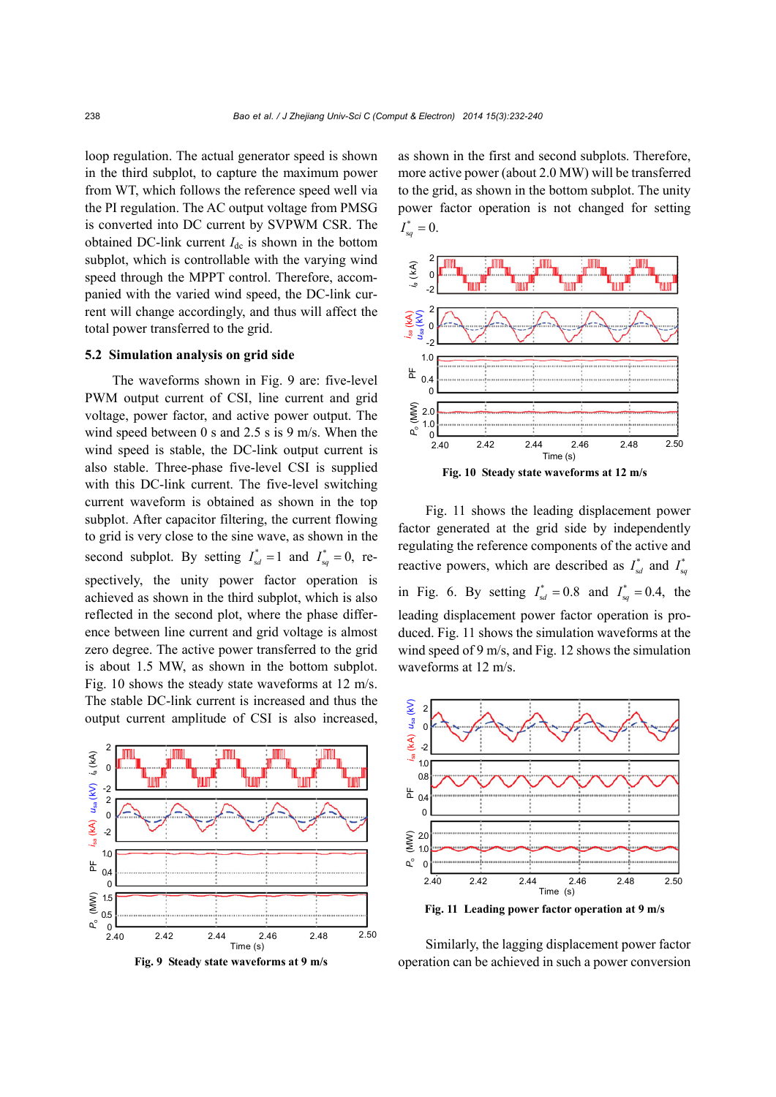loop regulation. The actual generator speed is shown in the third subplot, to capture the maximum power from WT, which follows the reference speed well via the PI regulation. The AC output voltage from PMSG is converted into DC current by SVPWM CSR. The obtained DC-link current  $I_{dc}$  is shown in the bottom subplot, which is controllable with the varying wind speed through the MPPT control. Therefore, accompanied with the varied wind speed, the DC-link current will change accordingly, and thus will affect the total power transferred to the grid.

# **5.2 Simulation analysis on grid side**

The waveforms shown in Fig. 9 are: five-level PWM output current of CSI, line current and grid voltage, power factor, and active power output. The wind speed between 0 s and 2.5 s is 9 m/s. When the wind speed is stable, the DC-link output current is also stable. Three-phase five-level CSI is supplied with this DC-link current. The five-level switching current waveform is obtained as shown in the top subplot. After capacitor filtering, the current flowing to grid is very close to the sine wave, as shown in the second subplot. By setting  $I_{sd}^* = 1$  and  $I_{sq}^* = 0$ , respectively, the unity power factor operation is achieved as shown in the third subplot, which is also reflected in the second plot, where the phase difference between line current and grid voltage is almost zero degree. The active power transferred to the grid is about 1.5 MW, as shown in the bottom subplot. Fig. 10 shows the steady state waveforms at 12 m/s. The stable DC-link current is increased and thus the output current amplitude of CSI is also increased,





as shown in the first and second subplots. Therefore, more active power (about 2.0 MW) will be transferred to the grid, as shown in the bottom subplot. The unity power factor operation is not changed for setting  $I^*_{sq} = 0.$ 





Fig. 11 shows the leading displacement power factor generated at the grid side by independently regulating the reference components of the active and reactive powers, which are described as  $I_{sd}^*$  and  $I_{sq}^*$ in Fig. 6. By setting  $I_{sd}^{*} = 0.8$  and  $I_{sq}^{*} = 0.4$ , the leading displacement power factor operation is produced. Fig. 11 shows the simulation waveforms at the wind speed of 9 m/s, and Fig. 12 shows the simulation waveforms at 12 m/s.



**Fig. 11 Leading power factor operation at 9 m/s** 

Similarly, the lagging displacement power factor operation can be achieved in such a power conversion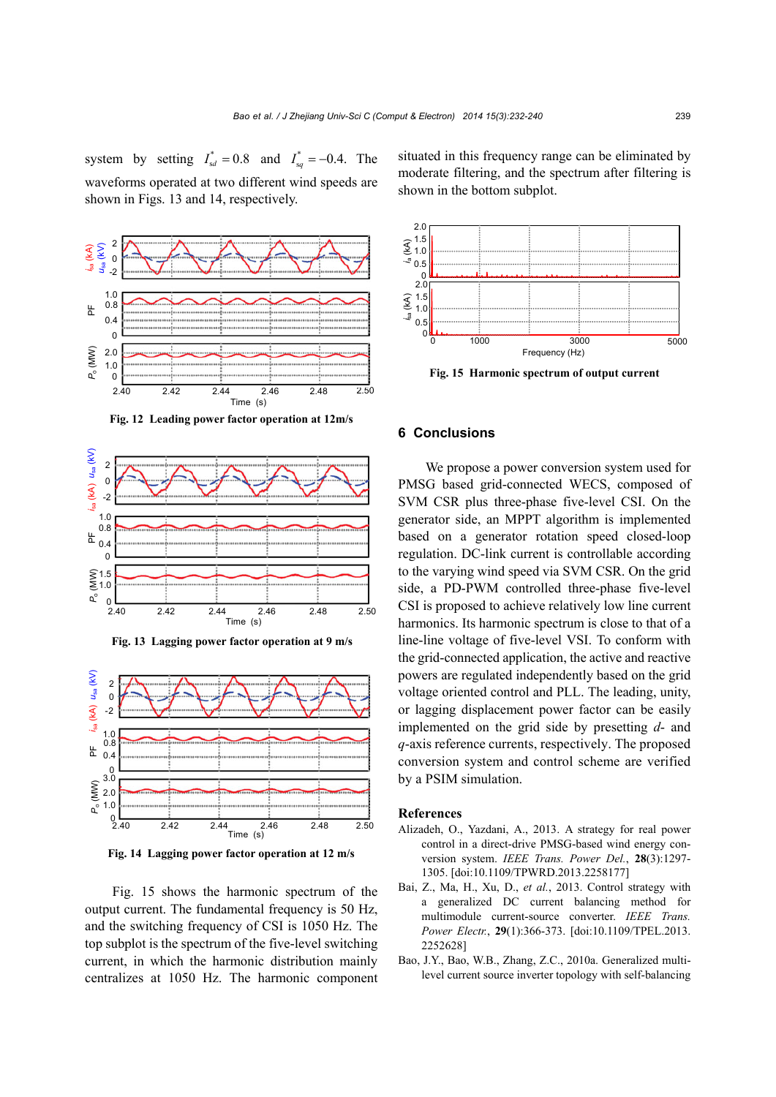system by setting  $I_{sd}^* = 0.8$  and  $I_{sq}^* = -0.4$ . The waveforms operated at two different wind speeds are shown in Figs. 13 and 14, respectively.



**Fig. 12 Leading power factor operation at 12m/s** 



**Fig. 13 Lagging power factor operation at 9 m/s** 



**Fig. 14 Lagging power factor operation at 12 m/s** 

Fig. 15 shows the harmonic spectrum of the output current. The fundamental frequency is 50 Hz, and the switching frequency of CSI is 1050 Hz. The top subplot is the spectrum of the five-level switching current, in which the harmonic distribution mainly centralizes at 1050 Hz. The harmonic component situated in this frequency range can be eliminated by moderate filtering, and the spectrum after filtering is shown in the bottom subplot.



**Fig. 15 Harmonic spectrum of output current** 

## **6 Conclusions**

We propose a power conversion system used for PMSG based grid-connected WECS, composed of SVM CSR plus three-phase five-level CSI. On the generator side, an MPPT algorithm is implemented based on a generator rotation speed closed-loop regulation. DC-link current is controllable according to the varying wind speed via SVM CSR. On the grid side, a PD-PWM controlled three-phase five-level CSI is proposed to achieve relatively low line current harmonics. Its harmonic spectrum is close to that of a line-line voltage of five-level VSI. To conform with the grid-connected application, the active and reactive powers are regulated independently based on the grid voltage oriented control and PLL. The leading, unity, or lagging displacement power factor can be easily implemented on the grid side by presetting *d*- and *q*-axis reference currents, respectively. The proposed conversion system and control scheme are verified by a PSIM simulation.

## **References**

- Alizadeh, O., Yazdani, A., 2013. A strategy for real power control in a direct-drive PMSG-based wind energy conversion system. *IEEE Trans. Power Del.*, **28**(3):1297- 1305. [doi:10.1109/TPWRD.2013.2258177]
- Bai, Z., Ma, H., Xu, D., *et al.*, 2013. Control strategy with a generalized DC current balancing method for multimodule current-source converter. *IEEE Trans. Power Electr.*, **29**(1):366-373. [doi:10.1109/TPEL.2013. 2252628]
- Bao, J.Y., Bao, W.B., Zhang, Z.C., 2010a. Generalized multilevel current source inverter topology with self-balancing